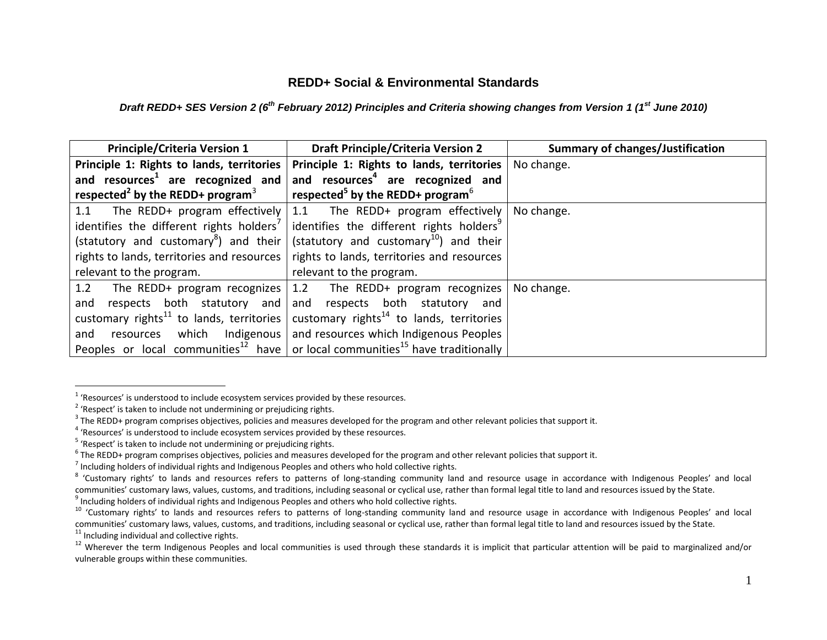## **REDD+ Social & Environmental Standards**

## *Draft REDD+ SES Version 2 (6th February 2012) Principles and Criteria showing changes from Version 1 (1st June 2010)*

| <b>Principle/Criteria Version 1</b>                      | <b>Draft Principle/Criteria Version 2</b>                                                                 | <b>Summary of changes/Justification</b> |
|----------------------------------------------------------|-----------------------------------------------------------------------------------------------------------|-----------------------------------------|
| Principle 1: Rights to lands, territories                | Principle 1: Rights to lands, territories                                                                 | No change.                              |
| and resources <sup>1</sup> are recognized and            | and resources <sup>4</sup> are recognized and                                                             |                                         |
| respected <sup>2</sup> by the REDD+ program <sup>3</sup> | respected <sup>5</sup> by the REDD+ program <sup>6</sup>                                                  |                                         |
|                                                          | 1.1 The REDD+ program effectively 1.1 The REDD+ program effectively                                       | No change.                              |
| identifies the different rights holders <sup>7</sup>     | identifies the different rights holders <sup>9</sup>                                                      |                                         |
| (statutory and customary <sup>8</sup> ) and their        | (statutory and customary <sup>10</sup> ) and their                                                        |                                         |
| rights to lands, territories and resources               | rights to lands, territories and resources                                                                |                                         |
| relevant to the program.                                 | relevant to the program.                                                                                  |                                         |
|                                                          | 1.2 The REDD+ program recognizes 1.2 The REDD+ program recognizes                                         | No change.                              |
|                                                          | and respects both statutory and and respects both statutory and                                           |                                         |
|                                                          | customary rights <sup>11</sup> to lands, territories customary rights <sup>14</sup> to lands, territories |                                         |
| and                                                      | resources which Indigenous   and resources which Indigenous Peoples                                       |                                         |
|                                                          | Peoples or local communities <sup>12</sup> have   or local communities <sup>15</sup> have traditionally   |                                         |

 $1$  'Resources' is understood to include ecosystem services provided by these resources.

<sup>&</sup>lt;sup>2</sup> 'Respect' is taken to include not undermining or prejudicing rights.

 $^3$  The REDD+ program comprises objectives, policies and measures developed for the program and other relevant policies that support it.

<sup>&</sup>lt;sup>4</sup> 'Resources' is understood to include ecosystem services provided by these resources.

<sup>&</sup>lt;sup>5</sup> 'Respect' is taken to include not undermining or prejudicing rights.

 $^6$  The REDD+ program comprises objectives, policies and measures developed for the program and other relevant policies that support it.

 $^7$  Including holders of individual rights and Indigenous Peoples and others who hold collective rights.

<sup>&</sup>lt;sup>8</sup> 'Customary rights' to lands and resources refers to patterns of long-standing community land and resource usage in accordance with Indigenous Peoples' and local communities' customary laws, values, customs, and traditions, including seasonal or cyclical use, rather than formal legal title to land and resources issued by the State.

 $^9$  Including holders of individual rights and Indigenous Peoples and others who hold collective rights.

<sup>&</sup>lt;sup>10</sup> 'Customary rights' to lands and resources refers to patterns of long-standing community land and resource usage in accordance with Indigenous Peoples' and local communities' customary laws, values, customs, and traditions, including seasonal or cyclical use, rather than formal legal title to land and resources issued by the State.

 $11$  Including individual and collective rights.

<sup>&</sup>lt;sup>12</sup> Wherever the term Indigenous Peoples and local communities is used through these standards it is implicit that particular attention will be paid to marginalized and/or vulnerable groups within these communities.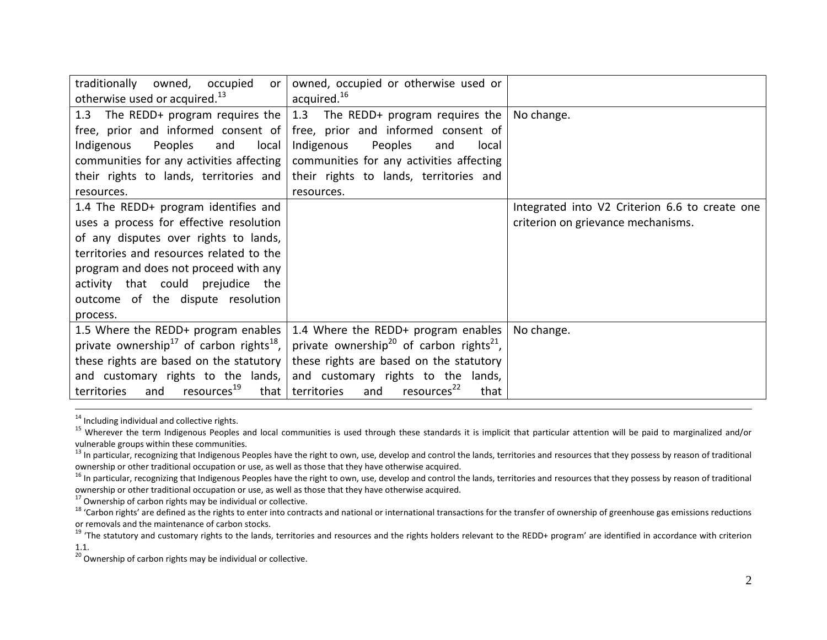| traditionally owned, occupied<br>or<br>otherwise used or acquired. <sup>13</sup> | owned, occupied or otherwise used or<br>acquired. <sup>16</sup>                           |                                                |
|----------------------------------------------------------------------------------|-------------------------------------------------------------------------------------------|------------------------------------------------|
|                                                                                  |                                                                                           |                                                |
|                                                                                  | 1.3 The REDD+ program requires the $\vert$ 1.3 The REDD+ program requires the             | No change.                                     |
|                                                                                  | free, prior and informed consent of   free, prior and informed consent of                 |                                                |
| Peoples<br>Indigenous<br>local<br>and                                            | Indigenous<br>Peoples<br>local<br>and                                                     |                                                |
|                                                                                  | communities for any activities affecting $\vert$ communities for any activities affecting |                                                |
| their rights to lands, territories and                                           | their rights to lands, territories and                                                    |                                                |
| resources.                                                                       | resources.                                                                                |                                                |
| 1.4 The REDD+ program identifies and                                             |                                                                                           | Integrated into V2 Criterion 6.6 to create one |
| uses a process for effective resolution                                          |                                                                                           | criterion on grievance mechanisms.             |
| of any disputes over rights to lands,                                            |                                                                                           |                                                |
| territories and resources related to the                                         |                                                                                           |                                                |
| program and does not proceed with any                                            |                                                                                           |                                                |
| activity that could prejudice the                                                |                                                                                           |                                                |
| outcome of the dispute resolution                                                |                                                                                           |                                                |
| process.                                                                         |                                                                                           |                                                |
| 1.5 Where the REDD+ program enables                                              | 1.4 Where the REDD+ program enables                                                       | No change.                                     |
| private ownership <sup>17</sup> of carbon rights <sup>18</sup> ,                 | private ownership <sup>20</sup> of carbon rights <sup>21</sup> ,                          |                                                |
| these rights are based on the statutory                                          | these rights are based on the statutory                                                   |                                                |
| and customary rights to the lands,                                               | and customary rights to the lands,                                                        |                                                |
| resources <sup>19</sup><br>territories<br>and<br>that                            | resources <sup>22</sup><br>territories<br>that<br>and                                     |                                                |

<sup>&</sup>lt;sup>14</sup> Including individual and collective rights.

<sup>17</sup> Ownership of carbon rights may be individual or collective.

 $20$  Ownership of carbon rights may be individual or collective.

<sup>&</sup>lt;sup>15</sup> Wherever the term Indigenous Peoples and local communities is used through these standards it is implicit that particular attention will be paid to marginalized and/or vulnerable groups within these communities.

<sup>&</sup>lt;sup>13</sup> In particular, recognizing that Indigenous Peoples have the right to own, use, develop and control the lands, territories and resources that they possess by reason of traditional ownership or other traditional occupation or use, as well as those that they have otherwise acquired.

<sup>&</sup>lt;sup>16</sup> In particular, recognizing that Indigenous Peoples have the right to own, use, develop and control the lands, territories and resources that they possess by reason of traditional ownership or other traditional occupation or use, as well as those that they have otherwise acquired.

<sup>&</sup>lt;sup>18</sup> 'Carbon rights' are defined as the rights to enter into contracts and national or international transactions for the transfer of ownership of greenhouse gas emissions reductions or removals and the maintenance of carbon stocks.

<sup>&</sup>lt;sup>19</sup> 'The statutory and customary rights to the lands, territories and resources and the rights holders relevant to the REDD+ program' are identified in accordance with criterion 1.1.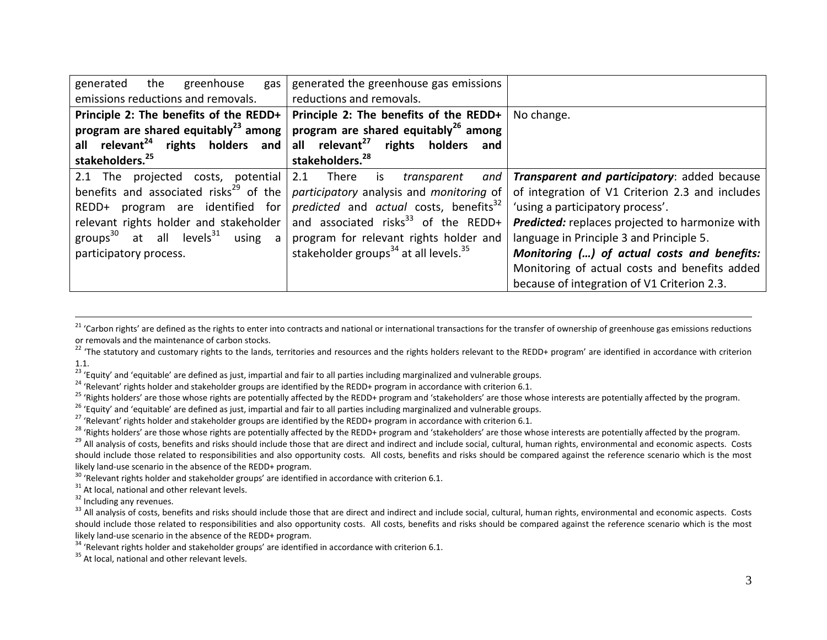| the<br>generated<br>greenhouse<br>gas<br>emissions reductions and removals.                                                                                                                                                                                     | generated the greenhouse gas emissions<br>reductions and removals.                                                                                                                                                                                                                           |                                                                                                                                                                                                                                                                                                                                                                                   |
|-----------------------------------------------------------------------------------------------------------------------------------------------------------------------------------------------------------------------------------------------------------------|----------------------------------------------------------------------------------------------------------------------------------------------------------------------------------------------------------------------------------------------------------------------------------------------|-----------------------------------------------------------------------------------------------------------------------------------------------------------------------------------------------------------------------------------------------------------------------------------------------------------------------------------------------------------------------------------|
| Principle 2: The benefits of the REDD+<br>program are shared equitably <sup>23</sup> among<br>all relevant <sup>24</sup> rights holders and<br>stakeholders. <sup>25</sup>                                                                                      | Principle 2: The benefits of the REDD+<br>program are shared equitably <sup>26</sup> among<br>all relevant <sup>27</sup> rights holders<br>and<br>stakeholders. <sup>28</sup>                                                                                                                | No change.                                                                                                                                                                                                                                                                                                                                                                        |
| 2.1 The projected costs, potential<br>benefits and associated risks <sup>29</sup> of the<br>program are identified for<br>REDD+<br>relevant rights holder and stakeholder<br>groups <sup>30</sup> at all levels <sup>31</sup> using a<br>participatory process. | 2.1 There is<br>and<br>transparent<br>participatory analysis and monitoring of<br>predicted and actual costs, benefits <sup>32</sup><br>and associated risks $^{33}$ of the REDD+<br>program for relevant rights holder and<br>stakeholder groups <sup>34</sup> at all levels. <sup>35</sup> | Transparent and participatory: added because<br>of integration of V1 Criterion 2.3 and includes<br>'using a participatory process'.<br>Predicted: replaces projected to harmonize with<br>language in Principle 3 and Principle 5.<br>Monitoring () of actual costs and benefits:<br>Monitoring of actual costs and benefits added<br>because of integration of V1 Criterion 2.3. |

<sup>21</sup> 'Carbon rights' are defined as the rights to enter into contracts and national or international transactions for the transfer of ownership of greenhouse gas emissions reductions or removals and the maintenance of carbon stocks.

<sup>22</sup> 'The statutory and customary rights to the lands, territories and resources and the rights holders relevant to the REDD+ program' are identified in accordance with criterion 1.1.

<sup>23</sup> 'Equity' and 'equitable' are defined as just, impartial and fair to all parties including marginalized and vulnerable groups.

<sup>24</sup> 'Relevant' rights holder and stakeholder groups are identified by the REDD+ program in accordance with criterion 6.1.

<sup>25</sup> 'Rights holders' are those whose rights are potentially affected by the REDD+ program and 'stakeholders' are those whose interests are potentially affected by the program.

<sup>26</sup> 'Equity' and 'equitable' are defined as just, impartial and fair to all parties including marginalized and vulnerable groups.

 $^{27}$  'Relevant' rights holder and stakeholder groups are identified by the REDD+ program in accordance with criterion 6.1.

<sup>28</sup> 'Rights holders' are those whose rights are potentially affected by the REDD+ program and 'stakeholders' are those whose interests are potentially affected by the program.

<sup>29</sup> All analysis of costs, benefits and risks should include those that are direct and indirect and include social, cultural, human rights, environmental and economic aspects. Costs should include those related to responsibilities and also opportunity costs. All costs, benefits and risks should be compared against the reference scenario which is the most likely land-use scenario in the absence of the REDD+ program.

 $30$  'Relevant rights holder and stakeholder groups' are identified in accordance with criterion 6.1.

 $31$  At local, national and other relevant levels.

<sup>32</sup> Including any revenues.

 $\overline{a}$ 

33 All analysis of costs, benefits and risks should include those that are direct and indirect and include social, cultural, human rights, environmental and economic aspects. Costs should include those related to responsibilities and also opportunity costs. All costs, benefits and risks should be compared against the reference scenario which is the most likely land-use scenario in the absence of the REDD+ program.

<sup>34</sup> 'Relevant rights holder and stakeholder groups' are identified in accordance with criterion 6.1.

<sup>35</sup> At local, national and other relevant levels.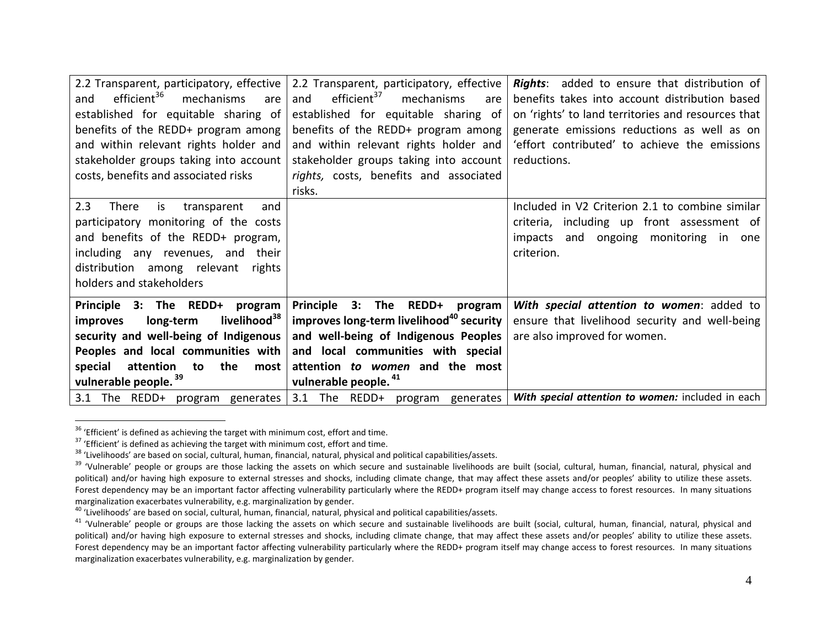| 2.2 Transparent, participatory, effective<br>efficient <sup>36</sup><br>mechanisms<br>are<br>and<br>established for equitable sharing of<br>benefits of the REDD+ program among<br>and within relevant rights holder and<br>stakeholder groups taking into account<br>costs, benefits and associated risks | 2.2 Transparent, participatory, effective<br>efficient <sup>37</sup><br>and<br>mechanisms<br>are<br>established for equitable sharing of<br>benefits of the REDD+ program among<br>and within relevant rights holder and<br>stakeholder groups taking into account<br>rights, costs, benefits and associated<br>risks. | <b>Rights:</b> added to ensure that distribution of<br>benefits takes into account distribution based<br>on 'rights' to land territories and resources that<br>generate emissions reductions as well as on<br>'effort contributed' to achieve the emissions<br>reductions. |
|------------------------------------------------------------------------------------------------------------------------------------------------------------------------------------------------------------------------------------------------------------------------------------------------------------|------------------------------------------------------------------------------------------------------------------------------------------------------------------------------------------------------------------------------------------------------------------------------------------------------------------------|----------------------------------------------------------------------------------------------------------------------------------------------------------------------------------------------------------------------------------------------------------------------------|
| 2.3<br>is<br>There<br>transparent<br>and<br>participatory monitoring of the costs<br>and benefits of the REDD+ program,<br>including any revenues, and their<br>distribution among relevant rights<br>holders and stakeholders                                                                             |                                                                                                                                                                                                                                                                                                                        | Included in V2 Criterion 2.1 to combine similar<br>criteria, including up front assessment of<br>impacts and ongoing monitoring in one<br>criterion.                                                                                                                       |
| Principle 3: The REDD+ program<br>livelihood <sup>38</sup><br>long-term<br>improves<br>security and well-being of Indigenous<br>Peoples and local communities with<br>special<br>attention<br>the<br>to<br>most<br>vulnerable people. <sup>39</sup>                                                        | Principle 3: The REDD+ program  <br>improves long-term livelihood <sup>40</sup> security<br>and well-being of Indigenous Peoples<br>and local communities with special<br>attention to women and the most<br>vulnerable people. <sup>41</sup>                                                                          | With special attention to women: added to<br>ensure that livelihood security and well-being<br>are also improved for women.                                                                                                                                                |
| 3.1 The REDD+ program generates                                                                                                                                                                                                                                                                            | 3.1 The REDD+ program generates                                                                                                                                                                                                                                                                                        | With special attention to women: included in each                                                                                                                                                                                                                          |

 $36$  'Efficient' is defined as achieving the target with minimum cost, effort and time.

<sup>&</sup>lt;sup>37</sup> 'Efficient' is defined as achieving the target with minimum cost, effort and time.

<sup>38</sup> 'Livelihoods' are based on social, cultural, human, financial, natural, physical and political capabilities/assets.

<sup>&</sup>lt;sup>39</sup> 'Vulnerable' people or groups are those lacking the assets on which secure and sustainable livelihoods are built (social, cultural, human, financial, natural, physical and political) and/or having high exposure to external stresses and shocks, including climate change, that may affect these assets and/or peoples' ability to utilize these assets. Forest dependency may be an important factor affecting vulnerability particularly where the REDD+ program itself may change access to forest resources. In many situations marginalization exacerbates vulnerability, e.g. marginalization by gender.

<sup>40</sup> 'Livelihoods' are based on social, cultural, human, financial, natural, physical and political capabilities/assets.

<sup>&</sup>lt;sup>41</sup> 'Vulnerable' people or groups are those lacking the assets on which secure and sustainable livelihoods are built (social, cultural, human, financial, natural, physical and political) and/or having high exposure to external stresses and shocks, including climate change, that may affect these assets and/or peoples' ability to utilize these assets. Forest dependency may be an important factor affecting vulnerability particularly where the REDD+ program itself may change access to forest resources. In many situations marginalization exacerbates vulnerability, e.g. marginalization by gender.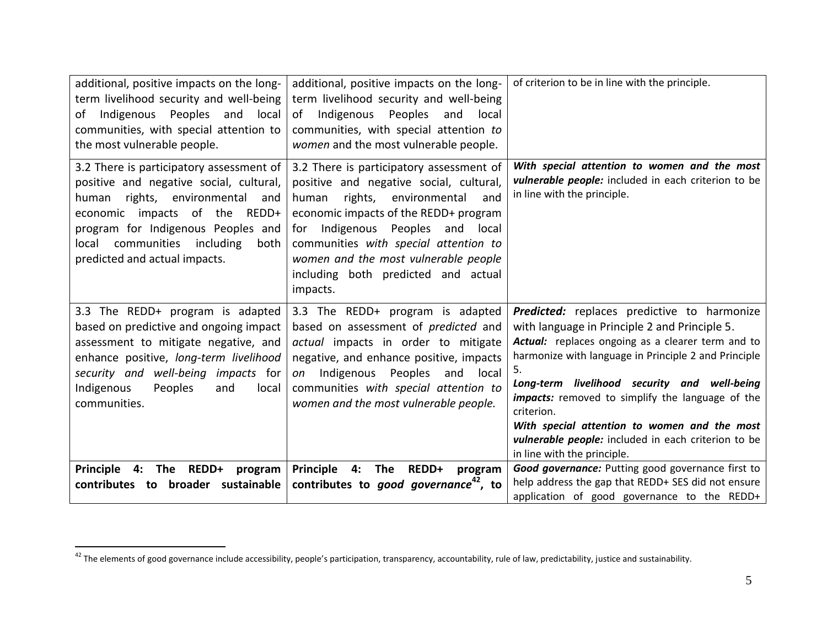| additional, positive impacts on the long-<br>term livelihood security and well-being<br>of Indigenous<br>Peoples<br>and local<br>communities, with special attention to<br>the most vulnerable people.                                                                      | additional, positive impacts on the long-<br>term livelihood security and well-being<br>of<br>Indigenous<br>Peoples<br>and<br>local<br>communities, with special attention to<br>women and the most vulnerable people.                                                                                                                        | of criterion to be in line with the principle.                                                                                                                                                                                                                                                                                                                                                                                                                                        |
|-----------------------------------------------------------------------------------------------------------------------------------------------------------------------------------------------------------------------------------------------------------------------------|-----------------------------------------------------------------------------------------------------------------------------------------------------------------------------------------------------------------------------------------------------------------------------------------------------------------------------------------------|---------------------------------------------------------------------------------------------------------------------------------------------------------------------------------------------------------------------------------------------------------------------------------------------------------------------------------------------------------------------------------------------------------------------------------------------------------------------------------------|
| 3.2 There is participatory assessment of<br>positive and negative social, cultural,<br>rights, environmental<br>human<br>and<br>economic impacts of the REDD+<br>program for Indigenous Peoples and<br>local communities including<br>both<br>predicted and actual impacts. | 3.2 There is participatory assessment of<br>positive and negative social, cultural,<br>rights, environmental<br>human<br>and<br>economic impacts of the REDD+ program<br>for Indigenous Peoples and local<br>communities with special attention to<br>women and the most vulnerable people<br>including both predicted and actual<br>impacts. | With special attention to women and the most<br>vulnerable people: included in each criterion to be<br>in line with the principle.                                                                                                                                                                                                                                                                                                                                                    |
| 3.3 The REDD+ program is adapted<br>based on predictive and ongoing impact<br>assessment to mitigate negative, and<br>enhance positive, long-term livelihood<br>security and well-being impacts for<br>Indigenous<br>Peoples<br>and<br>local<br>communities.                | 3.3 The REDD+ program is adapted<br>based on assessment of <i>predicted</i> and<br>actual impacts in order to mitigate<br>negative, and enhance positive, impacts<br>Indigenous<br>Peoples<br>and<br>local<br>on<br>communities with special attention to<br>women and the most vulnerable people.                                            | <b>Predicted:</b> replaces predictive to harmonize<br>with language in Principle 2 and Principle 5.<br>Actual: replaces ongoing as a clearer term and to<br>harmonize with language in Principle 2 and Principle<br>5.<br>Long-term livelihood security and well-being<br><i>impacts:</i> removed to simplify the language of the<br>criterion.<br>With special attention to women and the most<br>vulnerable people: included in each criterion to be<br>in line with the principle. |
| <b>REDD+</b><br><b>Principle</b><br>The<br>4:<br>program                                                                                                                                                                                                                    | Principle 4:<br><b>The</b><br>REDD+<br>program                                                                                                                                                                                                                                                                                                | Good governance: Putting good governance first to                                                                                                                                                                                                                                                                                                                                                                                                                                     |
| contributes to<br>broader sustainable                                                                                                                                                                                                                                       | contributes to good governance <sup>42</sup> , to                                                                                                                                                                                                                                                                                             | help address the gap that REDD+ SES did not ensure<br>application of good governance to the REDD+                                                                                                                                                                                                                                                                                                                                                                                     |

<sup>&</sup>lt;sup>42</sup> The elements of good governance include accessibility, people's participation, transparency, accountability, rule of law, predictability, justice and sustainability.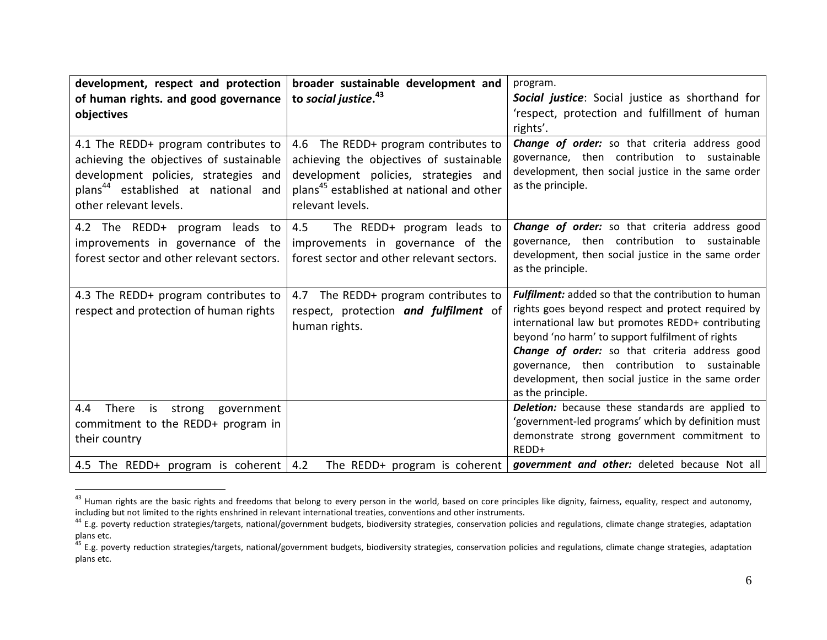| development, respect and protection<br>of human rights. and good governance<br>objectives                                                                                                            | broader sustainable development and<br>to social justice. <sup>43</sup>                                                                                                                              | program.<br>Social justice: Social justice as shorthand for<br>'respect, protection and fulfillment of human<br>rights'.                                                                                                                                                                                                                                                                                      |
|------------------------------------------------------------------------------------------------------------------------------------------------------------------------------------------------------|------------------------------------------------------------------------------------------------------------------------------------------------------------------------------------------------------|---------------------------------------------------------------------------------------------------------------------------------------------------------------------------------------------------------------------------------------------------------------------------------------------------------------------------------------------------------------------------------------------------------------|
| 4.1 The REDD+ program contributes to<br>achieving the objectives of sustainable<br>development policies, strategies and<br>plans <sup>44</sup> established at national and<br>other relevant levels. | 4.6 The REDD+ program contributes to<br>achieving the objectives of sustainable<br>development policies, strategies and<br>plans <sup>45</sup> established at national and other<br>relevant levels. | Change of order: so that criteria address good<br>governance, then contribution to sustainable<br>development, then social justice in the same order<br>as the principle.                                                                                                                                                                                                                                     |
| 4.2 The REDD+ program leads to<br>improvements in governance of the<br>forest sector and other relevant sectors.                                                                                     | 4.5<br>The REDD+ program leads to<br>improvements in governance of the<br>forest sector and other relevant sectors.                                                                                  | Change of order: so that criteria address good<br>governance, then contribution to sustainable<br>development, then social justice in the same order<br>as the principle.                                                                                                                                                                                                                                     |
| 4.3 The REDD+ program contributes to<br>respect and protection of human rights                                                                                                                       | The REDD+ program contributes to<br>4.7<br>respect, protection and fulfilment of<br>human rights.                                                                                                    | <b>Fulfilment:</b> added so that the contribution to human<br>rights goes beyond respect and protect required by<br>international law but promotes REDD+ contributing<br>beyond 'no harm' to support fulfilment of rights<br><b>Change of order:</b> so that criteria address good<br>governance, then contribution to sustainable<br>development, then social justice in the same order<br>as the principle. |
| 4.4<br>There<br>is strong government<br>commitment to the REDD+ program in<br>their country<br>4.5 The REDD+ program is coherent   4.2                                                               | The REDD+ program is coherent                                                                                                                                                                        | <b>Deletion:</b> because these standards are applied to<br>'government-led programs' which by definition must<br>demonstrate strong government commitment to<br>$RFDD+$<br>government and other: deleted because Not all                                                                                                                                                                                      |

<sup>&</sup>lt;sup>43</sup> Human rights are the basic rights and freedoms that belong to every person in the world, based on core principles like dignity, fairness, equality, respect and autonomy, including but not limited to the rights enshrined in relevant international treaties, conventions and other instruments.

<sup>&</sup>lt;sup>44</sup> E.g. poverty reduction strategies/targets, national/government budgets, biodiversity strategies, conservation policies and regulations, climate change strategies, adaptation plans etc.

<sup>&</sup>lt;sup>45</sup> E.g. poverty reduction strategies/targets, national/government budgets, biodiversity strategies, conservation policies and regulations, climate change strategies, adaptation plans etc.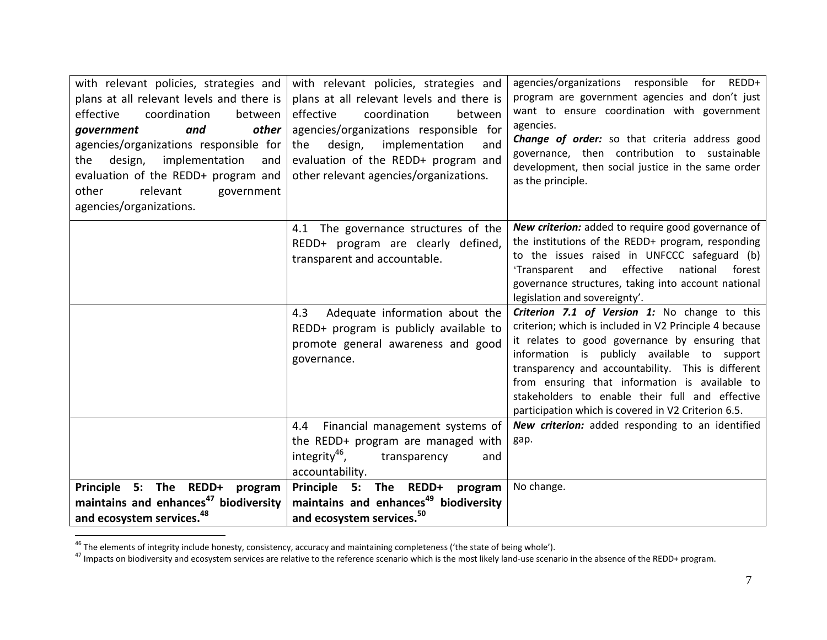| with relevant policies, strategies and<br>plans at all relevant levels and there is<br>effective<br>coordination<br>between<br>other<br>and<br>qovernment<br>agencies/organizations responsible for<br>implementation<br>design,<br>the<br>and<br>evaluation of the REDD+ program and<br>relevant<br>other<br>government<br>agencies/organizations. | with relevant policies, strategies and<br>plans at all relevant levels and there is<br>effective<br>coordination<br>between<br>agencies/organizations responsible for<br>design, implementation<br>the<br>and<br>evaluation of the REDD+ program and<br>other relevant agencies/organizations. | agencies/organizations responsible for REDD+<br>program are government agencies and don't just<br>want to ensure coordination with government<br>agencies.<br><b>Change of order:</b> so that criteria address good<br>governance, then contribution to sustainable<br>development, then social justice in the same order<br>as the principle.                                                                              |
|-----------------------------------------------------------------------------------------------------------------------------------------------------------------------------------------------------------------------------------------------------------------------------------------------------------------------------------------------------|------------------------------------------------------------------------------------------------------------------------------------------------------------------------------------------------------------------------------------------------------------------------------------------------|-----------------------------------------------------------------------------------------------------------------------------------------------------------------------------------------------------------------------------------------------------------------------------------------------------------------------------------------------------------------------------------------------------------------------------|
|                                                                                                                                                                                                                                                                                                                                                     | 4.1 The governance structures of the<br>REDD+ program are clearly defined,<br>transparent and accountable.                                                                                                                                                                                     | New criterion: added to require good governance of<br>the institutions of the REDD+ program, responding<br>to the issues raised in UNFCCC safeguard (b)<br>effective<br>national<br>forest<br>'Transparent<br>and<br>governance structures, taking into account national<br>legislation and sovereignty'.                                                                                                                   |
|                                                                                                                                                                                                                                                                                                                                                     | Adequate information about the<br>4.3<br>REDD+ program is publicly available to<br>promote general awareness and good<br>governance.                                                                                                                                                           | Criterion 7.1 of Version 1: No change to this<br>criterion; which is included in V2 Principle 4 because<br>it relates to good governance by ensuring that<br>information is publicly available to support<br>transparency and accountability. This is different<br>from ensuring that information is available to<br>stakeholders to enable their full and effective<br>participation which is covered in V2 Criterion 6.5. |
|                                                                                                                                                                                                                                                                                                                                                     | 4.4 Financial management systems of<br>the REDD+ program are managed with<br>integrity <sup>46</sup> ,<br>transparency<br>and<br>accountability.                                                                                                                                               | New criterion: added responding to an identified<br>gap.                                                                                                                                                                                                                                                                                                                                                                    |
| Principle 5: The REDD+<br>program<br>maintains and enhances <sup>47</sup> biodiversity<br>and ecosystem services. <sup>48</sup>                                                                                                                                                                                                                     | Principle<br>The REDD+<br>5:<br>program<br>maintains and enhances <sup>49</sup> biodiversity<br>and ecosystem services. <sup>50</sup>                                                                                                                                                          | No change.                                                                                                                                                                                                                                                                                                                                                                                                                  |

<sup>&</sup>lt;sup>46</sup> The elements of integrity include honesty, consistency, accuracy and maintaining completeness ('the state of being whole').

<sup>&</sup>lt;sup>47</sup> Impacts on biodiversity and ecosystem services are relative to the reference scenario which is the most likely land-use scenario in the absence of the REDD+ program.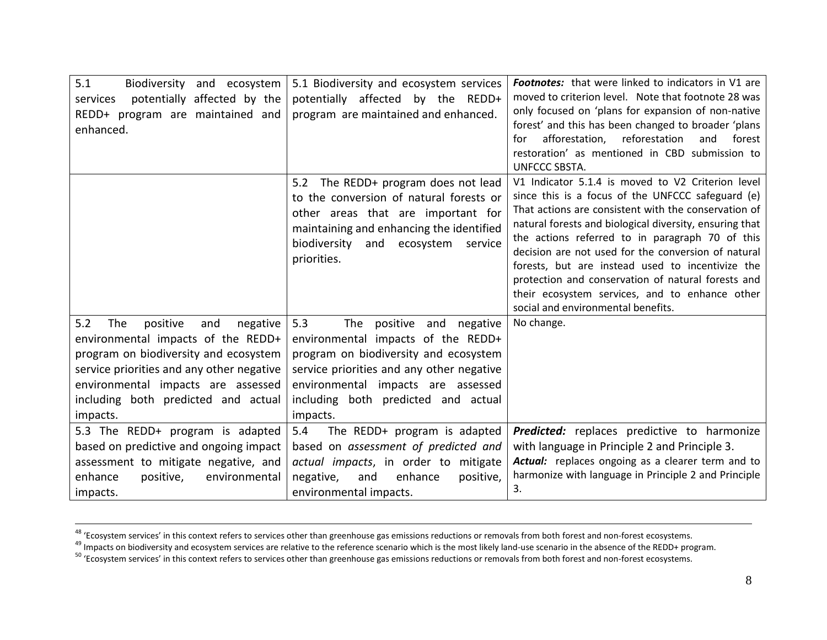| 5.1<br>Biodiversity and ecosystem<br>potentially affected by the<br>services<br>REDD+ program are maintained and<br>enhanced.                                                                                                                                  | 5.1 Biodiversity and ecosystem services<br>potentially affected by the REDD+<br>program are maintained and enhanced.                                                                                                                                  | <b>Footnotes:</b> that were linked to indicators in V1 are<br>moved to criterion level. Note that footnote 28 was<br>only focused on 'plans for expansion of non-native<br>forest' and this has been changed to broader 'plans<br>afforestation,<br>reforestation<br>and<br>forest<br>for<br>restoration' as mentioned in CBD submission to<br>UNFCCC SBSTA.                                                                                                                                                                          |
|----------------------------------------------------------------------------------------------------------------------------------------------------------------------------------------------------------------------------------------------------------------|-------------------------------------------------------------------------------------------------------------------------------------------------------------------------------------------------------------------------------------------------------|---------------------------------------------------------------------------------------------------------------------------------------------------------------------------------------------------------------------------------------------------------------------------------------------------------------------------------------------------------------------------------------------------------------------------------------------------------------------------------------------------------------------------------------|
|                                                                                                                                                                                                                                                                | The REDD+ program does not lead<br>5.2<br>to the conversion of natural forests or<br>other areas that are important for<br>maintaining and enhancing the identified<br>biodiversity<br>and ecosystem service<br>priorities.                           | V1 Indicator 5.1.4 is moved to V2 Criterion level<br>since this is a focus of the UNFCCC safeguard (e)<br>That actions are consistent with the conservation of<br>natural forests and biological diversity, ensuring that<br>the actions referred to in paragraph 70 of this<br>decision are not used for the conversion of natural<br>forests, but are instead used to incentivize the<br>protection and conservation of natural forests and<br>their ecosystem services, and to enhance other<br>social and environmental benefits. |
| 5.2<br>The<br>positive<br>and<br>negative<br>environmental impacts of the REDD+<br>program on biodiversity and ecosystem<br>service priorities and any other negative<br>environmental impacts are assessed<br>including both predicted and actual<br>impacts. | 5.3<br>The positive and negative<br>environmental impacts of the REDD+<br>program on biodiversity and ecosystem<br>service priorities and any other negative<br>environmental impacts are assessed<br>including both predicted and actual<br>impacts. | No change.                                                                                                                                                                                                                                                                                                                                                                                                                                                                                                                            |
| 5.3 The REDD+ program is adapted<br>based on predictive and ongoing impact<br>assessment to mitigate negative, and<br>enhance<br>positive,<br>environmental<br>impacts.                                                                                        | 5.4<br>The REDD+ program is adapted<br>based on assessment of predicted and<br>actual impacts, in order to mitigate<br>negative,<br>enhance<br>positive,<br>and<br>environmental impacts.                                                             | <b>Predicted:</b> replaces predictive to harmonize<br>with language in Principle 2 and Principle 3.<br>Actual: replaces ongoing as a clearer term and to<br>harmonize with language in Principle 2 and Principle<br>3.                                                                                                                                                                                                                                                                                                                |

<sup>&</sup>lt;sup>48</sup> 'Ecosystem services' in this context refers to services other than greenhouse gas emissions reductions or removals from both forest and non-forest ecosystems.

<sup>&</sup>lt;sup>49</sup> Impacts on biodiversity and ecosystem services are relative to the reference scenario which is the most likely land-use scenario in the absence of the REDD+ program.

<sup>&</sup>lt;sup>50</sup> 'Ecosystem services' in this context refers to services other than greenhouse gas emissions reductions or removals from both forest and non-forest ecosystems.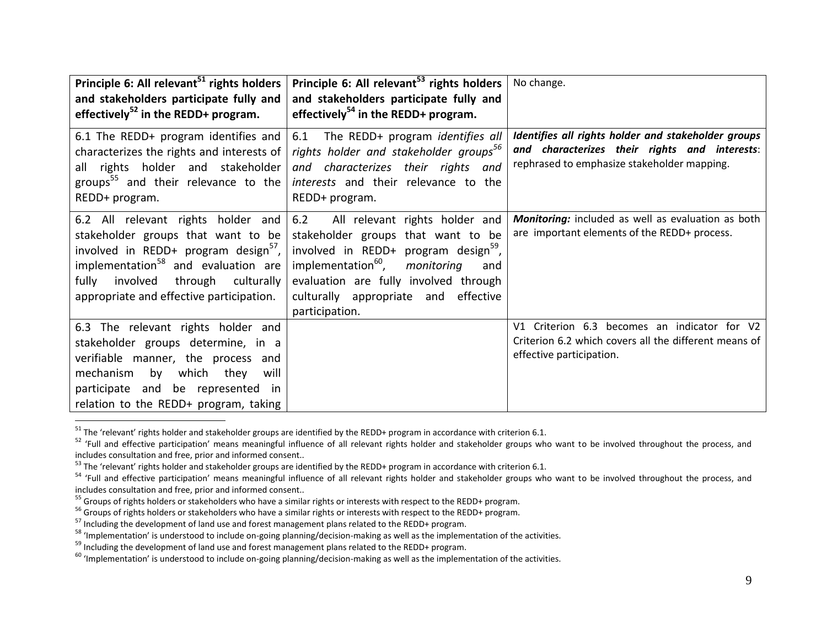| Principle 6: All relevant <sup>51</sup> rights holders<br>and stakeholders participate fully and<br>effectively <sup>52</sup> in the REDD+ program.                                                                                                                    | Principle 6: All relevant <sup>53</sup> rights holders<br>and stakeholders participate fully and<br>effectively <sup>54</sup> in the REDD+ program.                                                                                                                                       | No change.                                                                                                                                          |
|------------------------------------------------------------------------------------------------------------------------------------------------------------------------------------------------------------------------------------------------------------------------|-------------------------------------------------------------------------------------------------------------------------------------------------------------------------------------------------------------------------------------------------------------------------------------------|-----------------------------------------------------------------------------------------------------------------------------------------------------|
| 6.1 The REDD+ program identifies and<br>characterizes the rights and interests of<br>all rights holder and stakeholder<br>groups <sup>55</sup> and their relevance to the<br>REDD+ program.                                                                            | 6.1 The REDD+ program <i>identifies all</i><br>rights holder and stakeholder groups <sup>56</sup><br>and characterizes their rights and<br>interests and their relevance to the<br>REDD+ program.                                                                                         | Identifies all rights holder and stakeholder groups<br>and characterizes their rights and interests:<br>rephrased to emphasize stakeholder mapping. |
| 6.2 All relevant rights holder and<br>stakeholder groups that want to be<br>involved in REDD+ program design <sup>57</sup> ,<br>implementation <sup>58</sup> and evaluation are<br>involved<br>through culturally<br>fully<br>appropriate and effective participation. | 6.2<br>All relevant rights holder and<br>stakeholder groups that want to be<br>involved in REDD+ program design <sup>59</sup> ,<br>implementation <sup>60</sup> ,<br>monitoring<br>and<br>evaluation are fully involved through<br>culturally appropriate and effective<br>participation. | Monitoring: included as well as evaluation as both<br>are important elements of the REDD+ process.                                                  |
| 6.3 The relevant rights holder and<br>stakeholder groups determine, in a<br>verifiable manner, the process and<br>which<br>mechanism<br>by<br>they<br>will<br>participate and be represented in<br>relation to the REDD+ program, taking                               |                                                                                                                                                                                                                                                                                           | Criterion 6.3 becomes an indicator for V2<br>V1<br>Criterion 6.2 which covers all the different means of<br>effective participation.                |

 $51$  The 'relevant' rights holder and stakeholder groups are identified by the REDD+ program in accordance with criterion 6.1.

<sup>52</sup> 'Full and effective participation' means meaningful influence of all relevant rights holder and stakeholder groups who want to be involved throughout the process, and includes consultation and free, prior and informed consent..

<sup>&</sup>lt;sup>53</sup> The 'relevant' rights holder and stakeholder groups are identified by the REDD+ program in accordance with criterion 6.1.

 $54$  'Full and effective participation' means meaningful influence of all relevant rights holder and stakeholder groups who want to be involved throughout the process, and includes consultation and free, prior and informed consent..

<sup>&</sup>lt;sup>55</sup> Groups of rights holders or stakeholders who have a similar rights or interests with respect to the REDD+ program.

<sup>&</sup>lt;sup>56</sup> Groups of rights holders or stakeholders who have a similar rights or interests with respect to the REDD+ program.

<sup>&</sup>lt;sup>57</sup> Including the development of land use and forest management plans related to the REDD+ program.

<sup>58</sup> 'Implementation' is understood to include on-going planning/decision-making as well as the implementation of the activities.

<sup>&</sup>lt;sup>59</sup> Including the development of land use and forest management plans related to the REDD+ program.

 $60$  'Implementation' is understood to include on-going planning/decision-making as well as the implementation of the activities.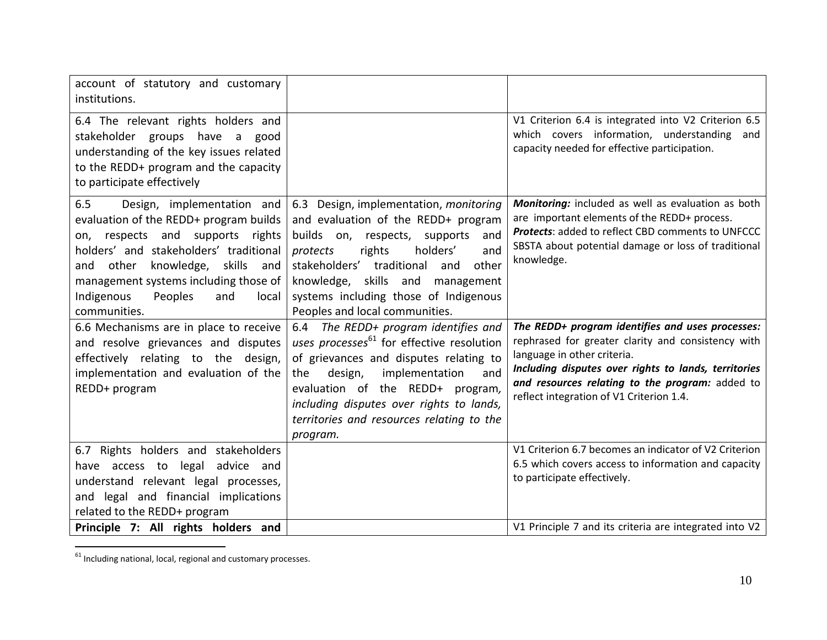| account of statutory and customary<br>institutions.                                                                                                                                                                                                                                                              |                                                                                                                                                                                                                                                                                                                             |                                                                                                                                                                                                                                                                                              |
|------------------------------------------------------------------------------------------------------------------------------------------------------------------------------------------------------------------------------------------------------------------------------------------------------------------|-----------------------------------------------------------------------------------------------------------------------------------------------------------------------------------------------------------------------------------------------------------------------------------------------------------------------------|----------------------------------------------------------------------------------------------------------------------------------------------------------------------------------------------------------------------------------------------------------------------------------------------|
| 6.4 The relevant rights holders and<br>stakeholder groups have a good<br>understanding of the key issues related<br>to the REDD+ program and the capacity<br>to participate effectively                                                                                                                          |                                                                                                                                                                                                                                                                                                                             | V1 Criterion 6.4 is integrated into V2 Criterion 6.5<br>which covers information, understanding<br>and<br>capacity needed for effective participation.                                                                                                                                       |
| 6.5<br>Design, implementation and<br>evaluation of the REDD+ program builds<br>respects and supports<br>rights<br>on,<br>holders' and stakeholders' traditional<br>other<br>knowledge,<br>skills<br>and<br>and<br>management systems including those of<br>Indigenous<br>Peoples<br>and<br>local<br>communities. | 6.3 Design, implementation, monitoring<br>and evaluation of the REDD+ program<br>builds on, respects, supports<br>and<br>rights<br>holders'<br>protects<br>and<br>stakeholders' traditional<br>other<br>and<br>knowledge, skills and management<br>systems including those of Indigenous<br>Peoples and local communities.  | Monitoring: included as well as evaluation as both<br>are important elements of the REDD+ process.<br><b>Protects: added to reflect CBD comments to UNFCCC</b><br>SBSTA about potential damage or loss of traditional<br>knowledge.                                                          |
| 6.6 Mechanisms are in place to receive<br>and resolve grievances and disputes<br>effectively relating to the<br>design,<br>implementation and evaluation of the<br>REDD+ program                                                                                                                                 | 6.4 The REDD+ program identifies and<br>uses processes <sup>61</sup> for effective resolution<br>of grievances and disputes relating to<br>implementation<br>the<br>design,<br>and<br>evaluation of the REDD+ program,<br>including disputes over rights to lands,<br>territories and resources relating to the<br>program. | The REDD+ program identifies and uses processes:<br>rephrased for greater clarity and consistency with<br>language in other criteria.<br>Including disputes over rights to lands, territories<br>and resources relating to the program: added to<br>reflect integration of V1 Criterion 1.4. |
| 6.7 Rights holders and stakeholders<br>have access to legal advice and<br>understand relevant legal processes,<br>and legal and financial implications<br>related to the REDD+ program                                                                                                                           |                                                                                                                                                                                                                                                                                                                             | V1 Criterion 6.7 becomes an indicator of V2 Criterion<br>6.5 which covers access to information and capacity<br>to participate effectively.                                                                                                                                                  |
| Principle 7: All rights holders and                                                                                                                                                                                                                                                                              |                                                                                                                                                                                                                                                                                                                             | V1 Principle 7 and its criteria are integrated into V2                                                                                                                                                                                                                                       |

 $61$  Including national, local, regional and customary processes.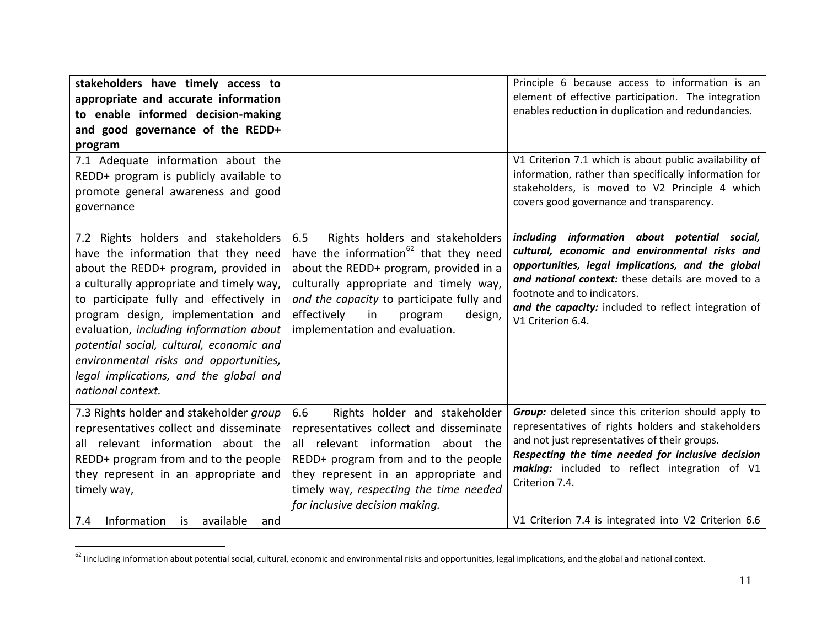| stakeholders have timely access to<br>appropriate and accurate information<br>to enable informed decision-making<br>and good governance of the REDD+<br>program                                                                                                                                                                                                                                                                                 |                                                                                                                                                                                                                                                                                                           | Principle 6 because access to information is an<br>element of effective participation. The integration<br>enables reduction in duplication and redundancies.                                                                                                                                                                               |
|-------------------------------------------------------------------------------------------------------------------------------------------------------------------------------------------------------------------------------------------------------------------------------------------------------------------------------------------------------------------------------------------------------------------------------------------------|-----------------------------------------------------------------------------------------------------------------------------------------------------------------------------------------------------------------------------------------------------------------------------------------------------------|--------------------------------------------------------------------------------------------------------------------------------------------------------------------------------------------------------------------------------------------------------------------------------------------------------------------------------------------|
| 7.1 Adequate information about the<br>REDD+ program is publicly available to<br>promote general awareness and good<br>governance                                                                                                                                                                                                                                                                                                                |                                                                                                                                                                                                                                                                                                           | V1 Criterion 7.1 which is about public availability of<br>information, rather than specifically information for<br>stakeholders, is moved to V2 Principle 4 which<br>covers good governance and transparency.                                                                                                                              |
| 7.2 Rights holders and stakeholders<br>have the information that they need<br>about the REDD+ program, provided in<br>a culturally appropriate and timely way,<br>to participate fully and effectively in<br>program design, implementation and<br>evaluation, including information about<br>potential social, cultural, economic and<br>environmental risks and opportunities,<br>legal implications, and the global and<br>national context. | 6.5<br>Rights holders and stakeholders<br>have the information <sup>62</sup> that they need<br>about the REDD+ program, provided in a<br>culturally appropriate and timely way,<br>and the capacity to participate fully and<br>effectively<br>in<br>program<br>design,<br>implementation and evaluation. | including information about potential social,<br>cultural, economic and environmental risks and<br>opportunities, legal implications, and the global<br>and national context: these details are moved to a<br>footnote and to indicators.<br>and the capacity: included to reflect integration of<br>V1 Criterion 6.4.                     |
| 7.3 Rights holder and stakeholder group<br>representatives collect and disseminate<br>all relevant information about the<br>REDD+ program from and to the people<br>they represent in an appropriate and<br>timely way,<br>Information<br>available<br>7.4<br>is<br>and                                                                                                                                                                         | Rights holder and stakeholder<br>6.6<br>representatives collect and disseminate<br>all relevant information about the<br>REDD+ program from and to the people<br>they represent in an appropriate and<br>timely way, respecting the time needed<br>for inclusive decision making.                         | Group: deleted since this criterion should apply to<br>representatives of rights holders and stakeholders<br>and not just representatives of their groups.<br>Respecting the time needed for inclusive decision<br>making: included to reflect integration of V1<br>Criterion 7.4.<br>V1 Criterion 7.4 is integrated into V2 Criterion 6.6 |

<sup>&</sup>lt;sup>62</sup> lincluding information about potential social, cultural, economic and environmental risks and opportunities, legal implications, and the global and national context.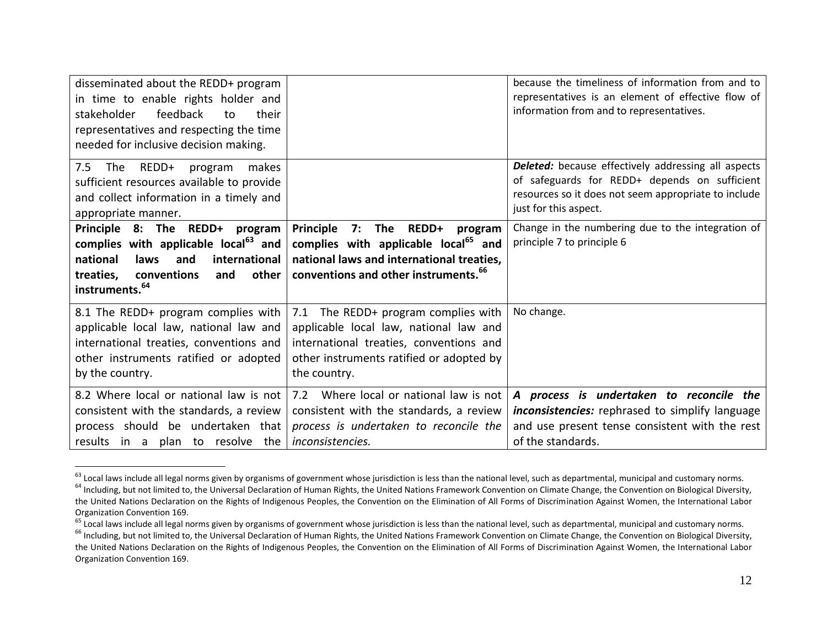| disseminated about the REDD+ program<br>in time to enable rights holder and<br>feedback<br>stakeholder<br>their<br>to<br>representatives and respecting the time<br>needed for inclusive decision making. |                                                                                                                                                                                      | because the timeliness of information from and to<br>representatives is an element of effective flow of<br>information from and to representatives.                                          |
|-----------------------------------------------------------------------------------------------------------------------------------------------------------------------------------------------------------|--------------------------------------------------------------------------------------------------------------------------------------------------------------------------------------|----------------------------------------------------------------------------------------------------------------------------------------------------------------------------------------------|
| REDD+<br>7.5<br>The<br>makes<br>program<br>sufficient resources available to provide<br>and collect information in a timely and<br>appropriate manner.                                                    |                                                                                                                                                                                      | <b>Deleted:</b> because effectively addressing all aspects<br>of safeguards for REDD+ depends on sufficient<br>resources so it does not seem appropriate to include<br>just for this aspect. |
| Principle 8: The REDD+<br>program<br>complies with applicable local <sup>63</sup> and<br>national<br>laws<br>and<br>international                                                                         | Principle<br>7:<br>The<br>REDD+<br>program<br>complies with applicable local <sup>65</sup> and<br>national laws and international treaties,                                          | Change in the numbering due to the integration of<br>principle 7 to principle 6                                                                                                              |
| other<br>conventions<br>treaties,<br>and<br>instruments. <sup>64</sup>                                                                                                                                    | conventions and other instruments. <sup>66</sup>                                                                                                                                     |                                                                                                                                                                                              |
| 8.1 The REDD+ program complies with<br>applicable local law, national law and<br>international treaties, conventions and<br>other instruments ratified or adopted<br>by the country.                      | 7.1 The REDD+ program complies with<br>applicable local law, national law and<br>international treaties, conventions and<br>other instruments ratified or adopted by<br>the country. | No change.                                                                                                                                                                                   |

<sup>&</sup>lt;sup>63</sup> Local laws include all legal norms given by organisms of government whose jurisdiction is less than the national level, such as departmental, municipal and customary norms.

<sup>&</sup>lt;sup>64</sup> Including, but not limited to, the Universal Declaration of Human Rights, the United Nations Framework Convention on Climate Change, the Convention on Biological Diversity, the United Nations Declaration on the Rights of Indigenous Peoples, the Convention on the Elimination of All Forms of Discrimination Against Women, the International Labor Organization Convention 169.

<sup>&</sup>lt;sup>65</sup> Local laws include all legal norms given by organisms of government whose jurisdiction is less than the national level, such as departmental, municipal and customary norms.

<sup>&</sup>lt;sup>66</sup> Including, but not limited to, the Universal Declaration of Human Rights, the United Nations Framework Convention on Climate Change, the Convention on Biological Diversity, the United Nations Declaration on the Rights of Indigenous Peoples, the Convention on the Elimination of All Forms of Discrimination Against Women, the International Labor Organization Convention 169.